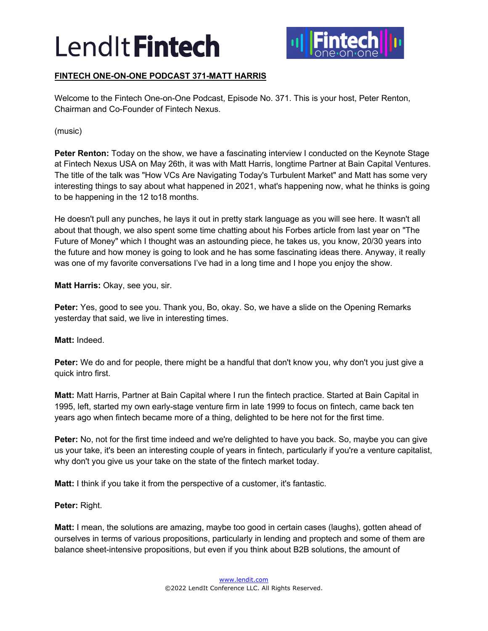# Lend<sub>It</sub> Fintech



# **FINTECH ONE-ON-ONE PODCAST 371-MATT HARRIS**

Welcome to the Fintech One-on-One Podcast, Episode No. 371. This is your host, Peter Renton, Chairman and Co-Founder of Fintech Nexus.

# (music)

**Peter Renton:** Today on the show, we have a fascinating interview I conducted on the Keynote Stage at Fintech Nexus USA on May 26th, it was with Matt Harris, longtime Partner at Bain Capital Ventures. The title of the talk was "How VCs Are Navigating Today's Turbulent Market" and Matt has some very interesting things to say about what happened in 2021, what's happening now, what he thinks is going to be happening in the 12 to18 months.

He doesn't pull any punches, he lays it out in pretty stark language as you will see here. It wasn't all about that though, we also spent some time chatting about his Forbes article from last year on "The Future of Money" which I thought was an astounding piece, he takes us, you know, 20/30 years into the future and how money is going to look and he has some fascinating ideas there. Anyway, it really was one of my favorite conversations I've had in a long time and I hope you enjoy the show.

# **Matt Harris:** Okay, see you, sir.

**Peter:** Yes, good to see you. Thank you, Bo, okay. So, we have a slide on the Opening Remarks yesterday that said, we live in interesting times.

# **Matt:** Indeed.

**Peter:** We do and for people, there might be a handful that don't know you, why don't you just give a quick intro first.

**Matt:** Matt Harris, Partner at Bain Capital where I run the fintech practice. Started at Bain Capital in 1995, left, started my own early-stage venture firm in late 1999 to focus on fintech, came back ten years ago when fintech became more of a thing, delighted to be here not for the first time.

**Peter:** No, not for the first time indeed and we're delighted to have you back. So, maybe you can give us your take, it's been an interesting couple of years in fintech, particularly if you're a venture capitalist, why don't you give us your take on the state of the fintech market today.

**Matt:** I think if you take it from the perspective of a customer, it's fantastic.

# **Peter:** Right.

**Matt:** I mean, the solutions are amazing, maybe too good in certain cases (laughs), gotten ahead of ourselves in terms of various propositions, particularly in lending and proptech and some of them are balance sheet-intensive propositions, but even if you think about B2B solutions, the amount of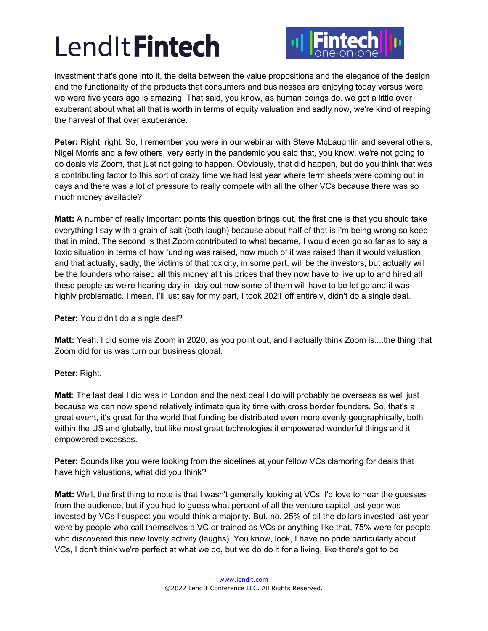

investment that's gone into it, the delta between the value propositions and the elegance of the design and the functionality of the products that consumers and businesses are enjoying today versus were we were five years ago is amazing. That said, you know, as human beings do, we got a little over exuberant about what all that is worth in terms of equity valuation and sadly now, we're kind of reaping the harvest of that over exuberance.

**Peter:** Right, right. So, I remember you were in our webinar with Steve McLaughlin and several others, Nigel Morris and a few others, very early in the pandemic you said that, you know, we're not going to do deals via Zoom, that just not going to happen. Obviously, that did happen, but do you think that was a contributing factor to this sort of crazy time we had last year where term sheets were coming out in days and there was a lot of pressure to really compete with all the other VCs because there was so much money available?

**Matt:** A number of really important points this question brings out, the first one is that you should take everything I say with a grain of salt (both laugh) because about half of that is I'm being wrong so keep that in mind. The second is that Zoom contributed to what became, I would even go so far as to say a toxic situation in terms of how funding was raised, how much of it was raised than it would valuation and that actually, sadly, the victims of that toxicity, in some part, will be the investors, but actually will be the founders who raised all this money at this prices that they now have to live up to and hired all these people as we're hearing day in, day out now some of them will have to be let go and it was highly problematic. I mean, I'll just say for my part, I took 2021 off entirely, didn't do a single deal.

**Peter:** You didn't do a single deal?

**Matt:** Yeah. I did some via Zoom in 2020, as you point out, and I actually think Zoom is....the thing that Zoom did for us was turn our business global.

# **Peter**: Right.

**Matt**: The last deal I did was in London and the next deal I do will probably be overseas as well just because we can now spend relatively intimate quality time with cross border founders. So, that's a great event, it's great for the world that funding be distributed even more evenly geographically, both within the US and globally, but like most great technologies it empowered wonderful things and it empowered excesses.

**Peter:** Sounds like you were looking from the sidelines at your fellow VCs clamoring for deals that have high valuations, what did you think?

**Matt:** Well, the first thing to note is that I wasn't generally looking at VCs, I'd love to hear the guesses from the audience, but if you had to guess what percent of all the venture capital last year was invested by VCs I suspect you would think a majority. But, no, 25% of all the dollars invested last year were by people who call themselves a VC or trained as VCs or anything like that, 75% were for people who discovered this new lovely activity (laughs). You know, look, I have no pride particularly about VCs, I don't think we're perfect at what we do, but we do do it for a living, like there's got to be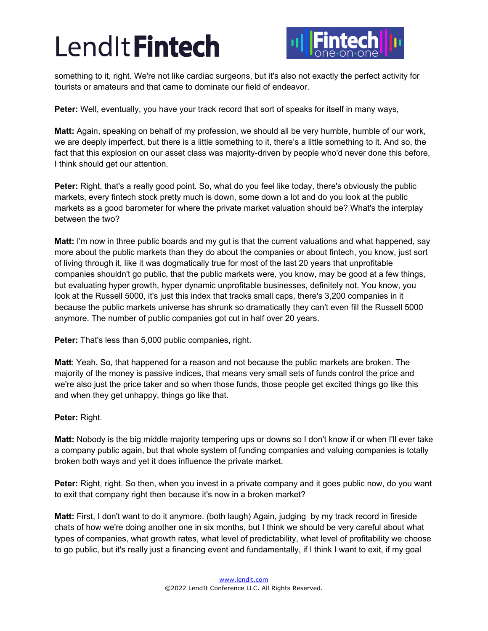

something to it, right. We're not like cardiac surgeons, but it's also not exactly the perfect activity for tourists or amateurs and that came to dominate our field of endeavor.

**Peter:** Well, eventually, you have your track record that sort of speaks for itself in many ways,

**Matt:** Again, speaking on behalf of my profession, we should all be very humble, humble of our work, we are deeply imperfect, but there is a little something to it, there's a little something to it. And so, the fact that this explosion on our asset class was majority-driven by people who'd never done this before, I think should get our attention.

Peter: Right, that's a really good point. So, what do you feel like today, there's obviously the public markets, every fintech stock pretty much is down, some down a lot and do you look at the public markets as a good barometer for where the private market valuation should be? What's the interplay between the two?

**Matt:** I'm now in three public boards and my gut is that the current valuations and what happened, say more about the public markets than they do about the companies or about fintech, you know, just sort of living through it, like it was dogmatically true for most of the last 20 years that unprofitable companies shouldn't go public, that the public markets were, you know, may be good at a few things, but evaluating hyper growth, hyper dynamic unprofitable businesses, definitely not. You know, you look at the Russell 5000, it's just this index that tracks small caps, there's 3,200 companies in it because the public markets universe has shrunk so dramatically they can't even fill the Russell 5000 anymore. The number of public companies got cut in half over 20 years.

**Peter:** That's less than 5,000 public companies, right.

**Matt**: Yeah. So, that happened for a reason and not because the public markets are broken. The majority of the money is passive indices, that means very small sets of funds control the price and we're also just the price taker and so when those funds, those people get excited things go like this and when they get unhappy, things go like that.

# **Peter:** Right.

**Matt:** Nobody is the big middle majority tempering ups or downs so I don't know if or when I'll ever take a company public again, but that whole system of funding companies and valuing companies is totally broken both ways and yet it does influence the private market.

**Peter:** Right, right. So then, when you invest in a private company and it goes public now, do you want to exit that company right then because it's now in a broken market?

**Matt:** First, I don't want to do it anymore. (both laugh) Again, judging by my track record in fireside chats of how we're doing another one in six months, but I think we should be very careful about what types of companies, what growth rates, what level of predictability, what level of profitability we choose to go public, but it's really just a financing event and fundamentally, if I think I want to exit, if my goal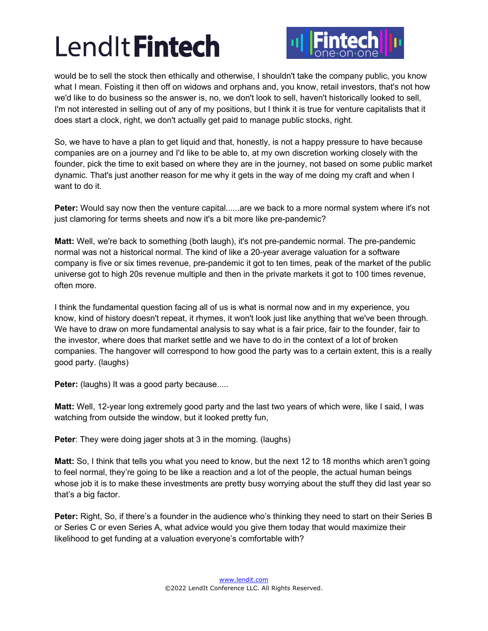

would be to sell the stock then ethically and otherwise, I shouldn't take the company public, you know what I mean. Foisting it then off on widows and orphans and, you know, retail investors, that's not how we'd like to do business so the answer is, no, we don't look to sell, haven't historically looked to sell, I'm not interested in selling out of any of my positions, but I think it is true for venture capitalists that it does start a clock, right, we don't actually get paid to manage public stocks, right.

So, we have to have a plan to get liquid and that, honestly, is not a happy pressure to have because companies are on a journey and I'd like to be able to, at my own discretion working closely with the founder, pick the time to exit based on where they are in the journey, not based on some public market dynamic. That's just another reason for me why it gets in the way of me doing my craft and when I want to do it.

**Peter:** Would say now then the venture capital......are we back to a more normal system where it's not just clamoring for terms sheets and now it's a bit more like pre-pandemic?

**Matt:** Well, we're back to something (both laugh), it's not pre-pandemic normal. The pre-pandemic normal was not a historical normal. The kind of like a 20-year average valuation for a software company is five or six times revenue, pre-pandemic it got to ten times, peak of the market of the public universe got to high 20s revenue multiple and then in the private markets it got to 100 times revenue, often more.

I think the fundamental question facing all of us is what is normal now and in my experience, you know, kind of history doesn't repeat, it rhymes, it won't look just like anything that we've been through. We have to draw on more fundamental analysis to say what is a fair price, fair to the founder, fair to the investor, where does that market settle and we have to do in the context of a lot of broken companies. The hangover will correspond to how good the party was to a certain extent, this is a really good party. (laughs)

Peter: (laughs) It was a good party because.....

**Matt:** Well, 12-year long extremely good party and the last two years of which were, like I said, I was watching from outside the window, but it looked pretty fun,

**Peter**: They were doing jager shots at 3 in the morning. (laughs)

**Matt:** So, I think that tells you what you need to know, but the next 12 to 18 months which aren't going to feel normal, they're going to be like a reaction and a lot of the people, the actual human beings whose job it is to make these investments are pretty busy worrying about the stuff they did last year so that's a big factor.

**Peter:** Right, So, if there's a founder in the audience who's thinking they need to start on their Series B or Series C or even Series A, what advice would you give them today that would maximize their likelihood to get funding at a valuation everyone's comfortable with?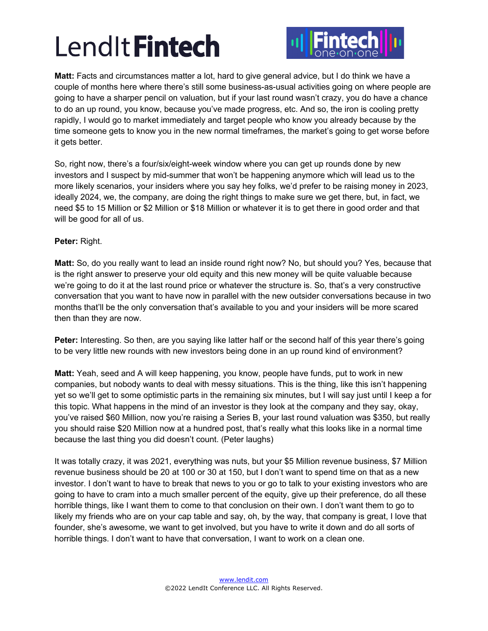

**Matt:** Facts and circumstances matter a lot, hard to give general advice, but I do think we have a couple of months here where there's still some business-as-usual activities going on where people are going to have a sharper pencil on valuation, but if your last round wasn't crazy, you do have a chance to do an up round, you know, because you've made progress, etc. And so, the iron is cooling pretty rapidly, I would go to market immediately and target people who know you already because by the time someone gets to know you in the new normal timeframes, the market's going to get worse before it gets better.

So, right now, there's a four/six/eight-week window where you can get up rounds done by new investors and I suspect by mid-summer that won't be happening anymore which will lead us to the more likely scenarios, your insiders where you say hey folks, we'd prefer to be raising money in 2023, ideally 2024, we, the company, are doing the right things to make sure we get there, but, in fact, we need \$5 to 15 Million or \$2 Million or \$18 Million or whatever it is to get there in good order and that will be good for all of us.

# **Peter:** Right.

**Matt:** So, do you really want to lead an inside round right now? No, but should you? Yes, because that is the right answer to preserve your old equity and this new money will be quite valuable because we're going to do it at the last round price or whatever the structure is. So, that's a very constructive conversation that you want to have now in parallel with the new outsider conversations because in two months that'll be the only conversation that's available to you and your insiders will be more scared then than they are now.

**Peter:** Interesting. So then, are you saying like latter half or the second half of this year there's going to be very little new rounds with new investors being done in an up round kind of environment?

**Matt:** Yeah, seed and A will keep happening, you know, people have funds, put to work in new companies, but nobody wants to deal with messy situations. This is the thing, like this isn't happening yet so we'll get to some optimistic parts in the remaining six minutes, but I will say just until I keep a for this topic. What happens in the mind of an investor is they look at the company and they say, okay, you've raised \$60 Million, now you're raising a Series B, your last round valuation was \$350, but really you should raise \$20 Million now at a hundred post, that's really what this looks like in a normal time because the last thing you did doesn't count. (Peter laughs)

It was totally crazy, it was 2021, everything was nuts, but your \$5 Million revenue business, \$7 Million revenue business should be 20 at 100 or 30 at 150, but I don't want to spend time on that as a new investor. I don't want to have to break that news to you or go to talk to your existing investors who are going to have to cram into a much smaller percent of the equity, give up their preference, do all these horrible things, like I want them to come to that conclusion on their own. I don't want them to go to likely my friends who are on your cap table and say, oh, by the way, that company is great, I love that founder, she's awesome, we want to get involved, but you have to write it down and do all sorts of horrible things. I don't want to have that conversation, I want to work on a clean one.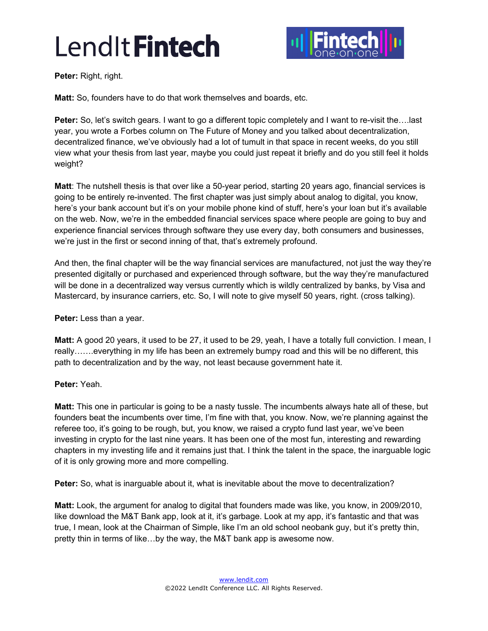

**Peter:** Right, right.

**Matt:** So, founders have to do that work themselves and boards, etc.

**Peter:** So, let's switch gears. I want to go a different topic completely and I want to re-visit the….last year, you wrote a Forbes column on The Future of Money and you talked about decentralization, decentralized finance, we've obviously had a lot of tumult in that space in recent weeks, do you still view what your thesis from last year, maybe you could just repeat it briefly and do you still feel it holds weight?

**Matt**: The nutshell thesis is that over like a 50-year period, starting 20 years ago, financial services is going to be entirely re-invented. The first chapter was just simply about analog to digital, you know, here's your bank account but it's on your mobile phone kind of stuff, here's your loan but it's available on the web. Now, we're in the embedded financial services space where people are going to buy and experience financial services through software they use every day, both consumers and businesses, we're just in the first or second inning of that, that's extremely profound.

And then, the final chapter will be the way financial services are manufactured, not just the way they're presented digitally or purchased and experienced through software, but the way they're manufactured will be done in a decentralized way versus currently which is wildly centralized by banks, by Visa and Mastercard, by insurance carriers, etc. So, I will note to give myself 50 years, right. (cross talking).

**Peter:** Less than a year.

**Matt:** A good 20 years, it used to be 27, it used to be 29, yeah, I have a totally full conviction. I mean, I really…….everything in my life has been an extremely bumpy road and this will be no different, this path to decentralization and by the way, not least because government hate it.

**Peter:** Yeah.

**Matt:** This one in particular is going to be a nasty tussle. The incumbents always hate all of these, but founders beat the incumbents over time, I'm fine with that, you know. Now, we're planning against the referee too, it's going to be rough, but, you know, we raised a crypto fund last year, we've been investing in crypto for the last nine years. It has been one of the most fun, interesting and rewarding chapters in my investing life and it remains just that. I think the talent in the space, the inarguable logic of it is only growing more and more compelling.

**Peter:** So, what is inarguable about it, what is inevitable about the move to decentralization?

**Matt:** Look, the argument for analog to digital that founders made was like, you know, in 2009/2010, like download the M&T Bank app, look at it, it's garbage. Look at my app, it's fantastic and that was true, I mean, look at the Chairman of Simple, like I'm an old school neobank guy, but it's pretty thin, pretty thin in terms of like…by the way, the M&T bank app is awesome now.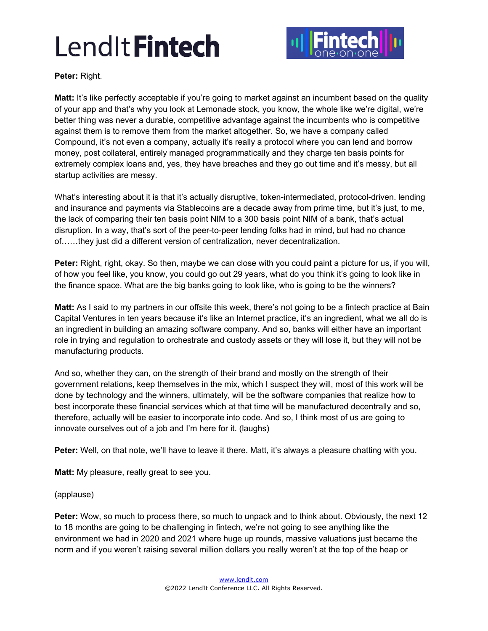

**Peter:** Right.

**Matt:** It's like perfectly acceptable if you're going to market against an incumbent based on the quality of your app and that's why you look at Lemonade stock, you know, the whole like we're digital, we're better thing was never a durable, competitive advantage against the incumbents who is competitive against them is to remove them from the market altogether. So, we have a company called Compound, it's not even a company, actually it's really a protocol where you can lend and borrow money, post collateral, entirely managed programmatically and they charge ten basis points for extremely complex loans and, yes, they have breaches and they go out time and it's messy, but all startup activities are messy.

What's interesting about it is that it's actually disruptive, token-intermediated, protocol-driven. lending and insurance and payments via Stablecoins are a decade away from prime time, but it's just, to me, the lack of comparing their ten basis point NIM to a 300 basis point NIM of a bank, that's actual disruption. In a way, that's sort of the peer-to-peer lending folks had in mind, but had no chance of……they just did a different version of centralization, never decentralization.

**Peter:** Right, right, okay. So then, maybe we can close with you could paint a picture for us, if you will, of how you feel like, you know, you could go out 29 years, what do you think it's going to look like in the finance space. What are the big banks going to look like, who is going to be the winners?

**Matt:** As I said to my partners in our offsite this week, there's not going to be a fintech practice at Bain Capital Ventures in ten years because it's like an Internet practice, it's an ingredient, what we all do is an ingredient in building an amazing software company. And so, banks will either have an important role in trying and regulation to orchestrate and custody assets or they will lose it, but they will not be manufacturing products.

And so, whether they can, on the strength of their brand and mostly on the strength of their government relations, keep themselves in the mix, which I suspect they will, most of this work will be done by technology and the winners, ultimately, will be the software companies that realize how to best incorporate these financial services which at that time will be manufactured decentrally and so, therefore, actually will be easier to incorporate into code. And so, I think most of us are going to innovate ourselves out of a job and I'm here for it. (laughs)

**Peter:** Well, on that note, we'll have to leave it there. Matt, it's always a pleasure chatting with you.

**Matt:** My pleasure, really great to see you.

(applause)

**Peter:** Wow, so much to process there, so much to unpack and to think about. Obviously, the next 12 to 18 months are going to be challenging in fintech, we're not going to see anything like the environment we had in 2020 and 2021 where huge up rounds, massive valuations just became the norm and if you weren't raising several million dollars you really weren't at the top of the heap or